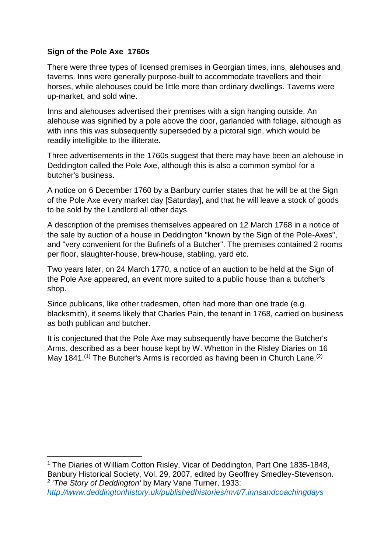## **Sign of the Pole Axe 1760s**

There were three types of licensed premises in Georgian times, inns, alehouses and taverns. Inns were generally purpose-built to accommodate travellers and their horses, while alehouses could be little more than ordinary dwellings. Taverns were up-market, and sold wine.

Inns and alehouses advertised their premises with a sign hanging outside. An alehouse was signified by a pole above the door, garlanded with foliage, although as with inns this was subsequently superseded by a pictoral sign, which would be readily intelligible to the illiterate.

Three advertisements in the 1760s suggest that there may have been an alehouse in Deddington called the Pole Axe, although this is also a common symbol for a butcher's business.

A notice on 6 December 1760 by a Banbury currier states that he will be at the Sign of the Pole Axe every market day [Saturday], and that he will leave a stock of goods to be sold by the Landlord all other days.

A description of the premises themselves appeared on 12 March 1768 in a notice of the sale by auction of a house in Deddington "known by the Sign of the Pole-Axes", and "very convenient for the Bufinefs of a Butcher". The premises contained 2 rooms per floor, slaughter-house, brew-house, stabling, yard etc.

Two years later, on 24 March 1770, a notice of an auction to be held at the Sign of the Pole Axe appeared, an event more suited to a public house than a butcher's shop.

Since publicans, like other tradesmen, often had more than one trade (e.g. blacksmith), it seems likely that Charles Pain, the tenant in 1768, carried on business as both publican and butcher.

It is conjectured that the Pole Axe may subsequently have become the Butcher's Arms, described as a beer house kept by W. Whetton in the Risley Diaries on 16 May 1841.<sup>(1)</sup> The Butcher's Arms is recorded as having been in Church Lane.<sup>(2)</sup>

1 <sup>1</sup> The Diaries of William Cotton Risley, Vicar of Deddington, Part One 1835-1848, Banbury Historical Society, Vol. 29, 2007, edited by Geoffrey Smedley-Stevenson. 2 '*The Story of Deddington'* by Mary Vane Turner, 1933: *<http://www.deddingtonhistory.uk/publishedhistories/mvt/7.innsandcoachingdays>*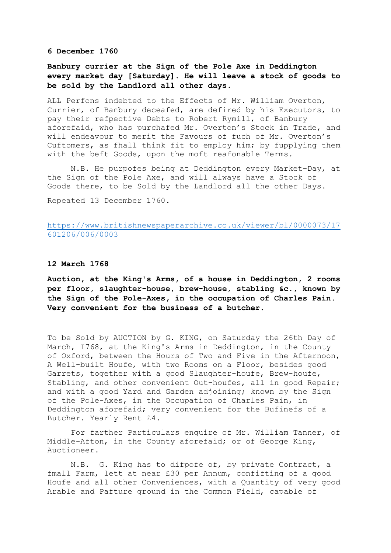**6 December 1760**

**Banbury currier at the Sign of the Pole Axe in Deddington every market day [Saturday]. He will leave a stock of goods to be sold by the Landlord all other days.**

ALL Perfons indebted to the Effects of Mr. William Overton, Currier, of Banbury deceafed, are defired by his Executors, to pay their refpective Debts to Robert Rymill, of Banbury aforefaid, who has purchafed Mr. Overton's Stock in Trade, and will endeavour to merit the Favours of fuch of Mr. Overton's Cuftomers, as fhall think fit to employ him; by fupplying them with the beft Goods, upon the moft reafonable Terms.

N.B. He purpofes being at Deddington every Market-Day, at the Sign of the Pole Axe, and will always have a Stock of Goods there, to be Sold by the Landlord all the other Days.

Repeated 13 December 1760.

## [https://www.britishnewspaperarchive.co.uk/viewer/bl/0000073/17](https://www.britishnewspaperarchive.co.uk/viewer/bl/0000073/17601206/006/0003) [601206/006/0003](https://www.britishnewspaperarchive.co.uk/viewer/bl/0000073/17601206/006/0003)

## **12 March 1768**

**Auction, at the King's Arms, of a house in Deddington, 2 rooms per floor, slaughter-house, brew-house, stabling &c., known by the Sign of the Pole-Axes, in the occupation of Charles Pain. Very convenient for the business of a butcher.** 

To be Sold by AUCTION by G. KING, on Saturday the 26th Day of March, I768, at the King's Arms in Deddington, in the County of Oxford, between the Hours of Two and Five in the Afternoon, A Well-built Houfe, with two Rooms on a Floor, besides good Garrets, together with a good Slaughter-houfe, Brew-houfe, Stabling, and other convenient Out-houfes, all in good Repair; and with a good Yard and Garden adjoining; known by the Sign of the Pole-Axes, in the Occupation of Charles Pain, in Deddington aforefaid; very convenient for the Bufinefs of a Butcher. Yearly Rent £4.

For farther Particulars enquire of Mr. William Tanner, of Middle-Afton, in the County aforefaid; or of George King, Auctioneer.

N.B. G. King has to difpofe of, by private Contract, a fmall Farm, lett at near £30 per Annum, confifting of a good Houfe and all other Conveniences, with a Quantity of very good Arable and Pafture ground in the Common Field, capable of